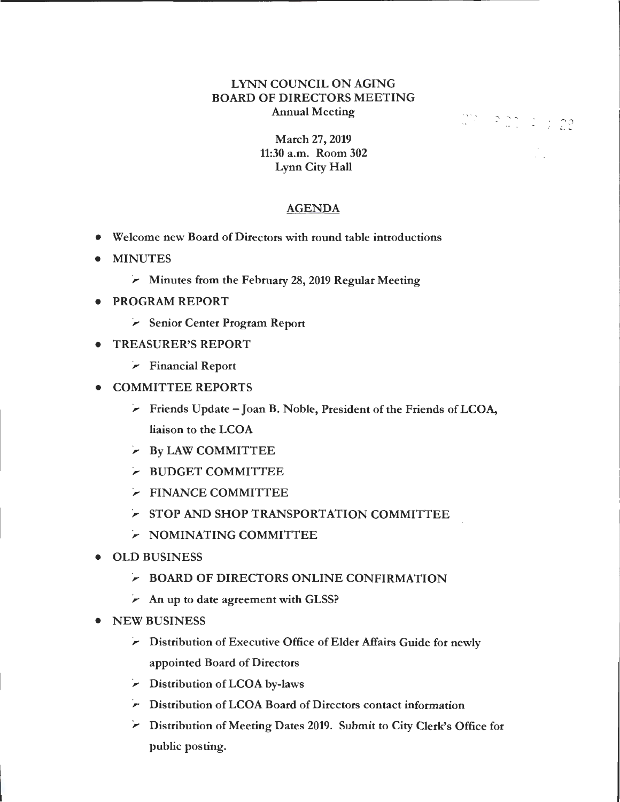## LYNN COUNCIL ON AGING BOARD OF DIRECTORS MEETING Annual Meeting

 $\mathbb{C}^2$  ,  $\mathbb{R}^2$  ,  $\mathbb{C}^2$  ,  $\mathbb{C}^2$  ,  $\mathbb{C}^2$ 

March 27, 2019 11:30 a.m. Room 302 Lynn City Hall

## AGENDA

- Welcome new Board of Directors with round table introductions
- MINUTES
	- *);;>-* Minutes from the February 28, 2019 Regular Meeting
- PROGRAM REPORT
	- *);;>-* Senior Center Program Report
- TREASURER'S REPORT
	- *);;>-* Financial Report
- COMMITTEE REPORTS
	- *);;>-* Friends Update Joan B. Noble, President of the Friends of LCOA, liaison to the LCOA
	- *);;>-* By LAW COMMITTEE
	- *);;>-* BUDGET COMMITTEE
	- *);;>-* FINANCE COMMITTEE
	- *);;>-* STOP AND SHOP TRANSPORTATION COMMITTEE
	- *);;>-* NOMINATING COMMITTEE
- OLD BUSINESS
	- *);;>-* BOARD OF DIRECTORS ONLINE CONFIRMATION
	- *);;>-* An up to date agreement with GLSS?
- NEW BUSINESS
	- *);;>-* Distribution of Executive Office of Elder Affairs Guide for newly appointed Board of Directors
	- *);;>-* Distribution of LCOA by-laws
	- *);;>-* Distribution of LCOA Board of Directors contact information
	- *);;>-* Distribution of Meeting Dates 2019. Submit to City Clerk's Office for public posting.